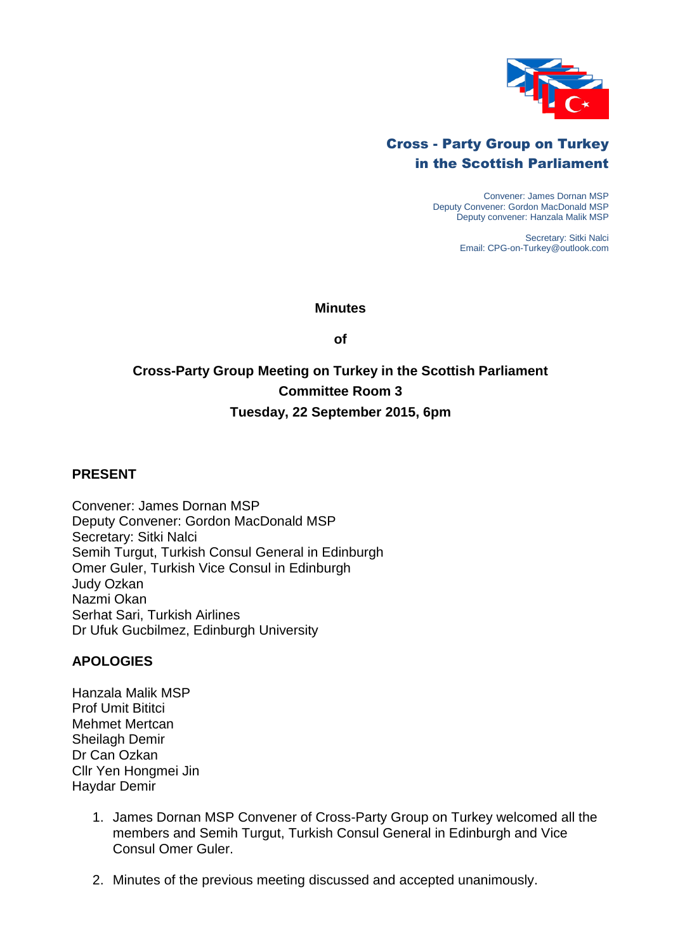

## Cross - Party Group on Turkey in the Scottish Parliament

Convener: James Dornan MSP Deputy Convener: Gordon MacDonald MSP Deputy convener: Hanzala Malik MSP

> Secretary: Sitki Nalci Email: CPG-on-Turkey@outlook.com

#### **Minutes**

**of**

# **Cross-Party Group Meeting on Turkey in the Scottish Parliament Committee Room 3 Tuesday, 22 September 2015, 6pm**

### **PRESENT**

Convener: James Dornan MSP Deputy Convener: Gordon MacDonald MSP Secretary: Sitki Nalci Semih Turgut, Turkish Consul General in Edinburgh Omer Guler, Turkish Vice Consul in Edinburgh Judy Ozkan Nazmi Okan Serhat Sari, Turkish Airlines Dr Ufuk Gucbilmez, Edinburgh University

### **APOLOGIES**

Hanzala Malik MSP Prof Umit Bititci Mehmet Mertcan Sheilagh Demir Dr Can Ozkan Cllr Yen Hongmei Jin Haydar Demir

- 1. James Dornan MSP Convener of Cross-Party Group on Turkey welcomed all the members and Semih Turgut, Turkish Consul General in Edinburgh and Vice Consul Omer Guler.
- 2. Minutes of the previous meeting discussed and accepted unanimously.